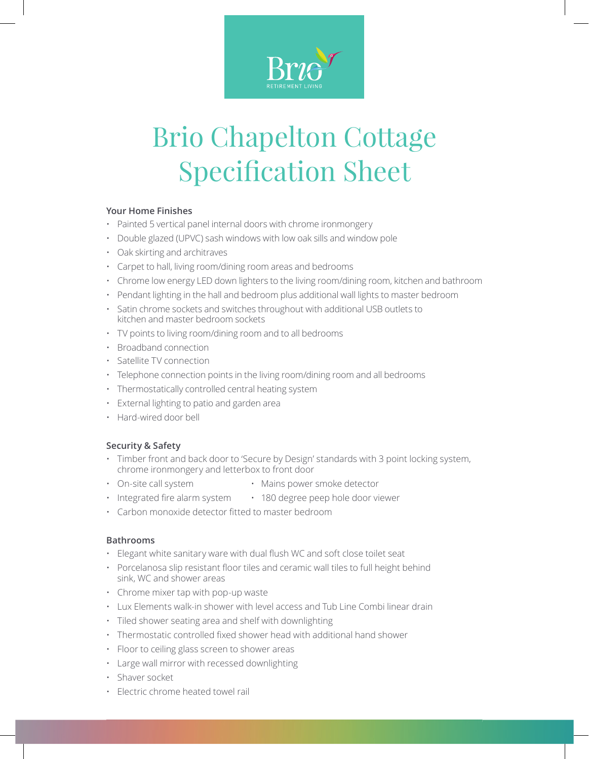

# Brio Chapelton Cottage **Specification Sheet**

# **Your Home Finishes**

- Painted 5 vertical panel internal doors with chrome ironmongery
- Double glazed (UPVC) sash windows with low oak sills and window pole
- Oak skirting and architraves
- Carpet to hall, living room/dining room areas and bedrooms
- Chrome low energy LED down lighters to the living room/dining room, kitchen and bathroom
- Pendant lighting in the hall and bedroom plus additional wall lights to master bedroom
- Satin chrome sockets and switches throughout with additional USB outlets to kitchen and master bedroom sockets
- TV points to living room/dining room and to all bedrooms
- Broadband connection
- Satellite TV connection
- Telephone connection points in the living room/dining room and all bedrooms
- Thermostatically controlled central heating system
- External lighting to patio and garden area
- Hard-wired door bell

# **Security & Safety**

- Timber front and back door to 'Secure by Design' standards with 3 point locking system, chrome ironmongery and letterbox to front door
- 
- On-site call system Mains power smoke detector
- $\cdot$  Integrated fire alarm system  $\cdot$  180 degree peep hole door viewer
- Carbon monoxide detector fitted to master bedroom

#### **Bathrooms**

- Elegant white sanitary ware with dual flush WC and soft close toilet seat
- Porcelanosa slip resistant floor tiles and ceramic wall tiles to full height behind sink, WC and shower areas
- Chrome mixer tap with pop-up waste
- Lux Elements walk-in shower with level access and Tub Line Combi linear drain
- Tiled shower seating area and shelf with downlighting
- Thermostatic controlled fixed shower head with additional hand shower
- Floor to ceiling glass screen to shower areas
- Large wall mirror with recessed downlighting
- Shaver socket
- Electric chrome heated towel rail